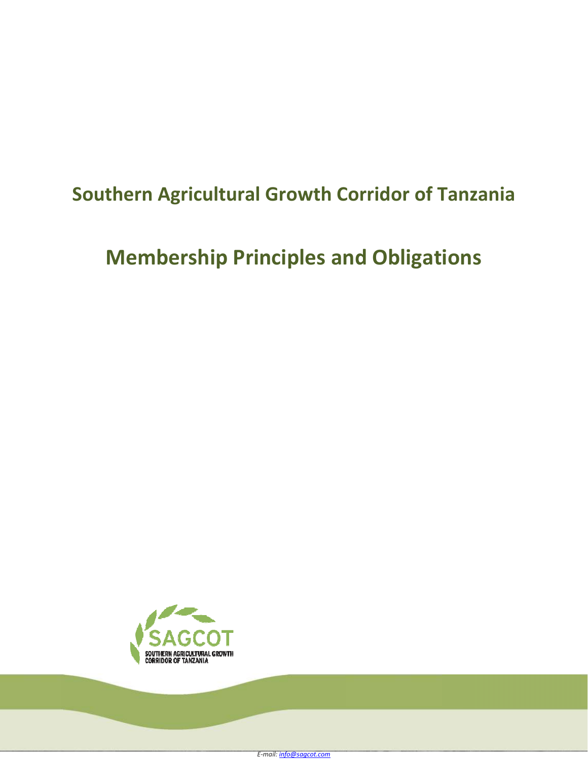## **Southern Agricultural Growth Corridor of Tanzania**

# **Membership Principles and Obligations**

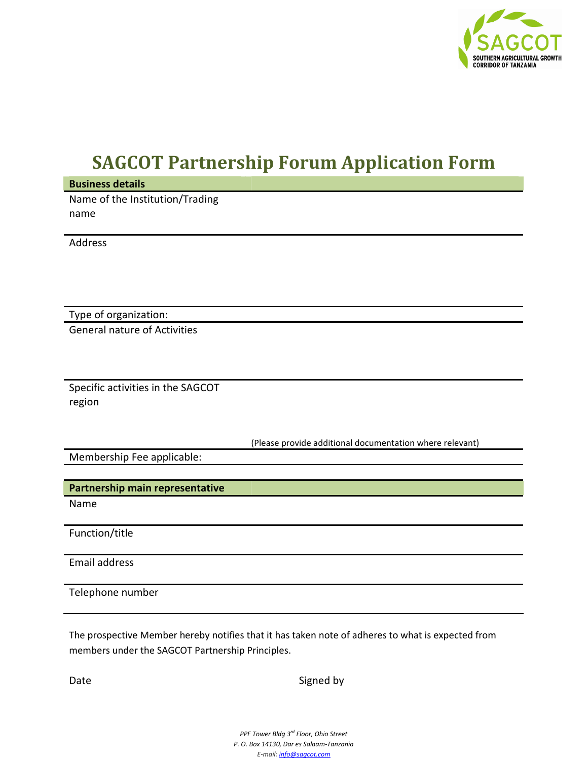

## **SAGCOT Partnership Forum Application Form**

**Business details**  Name of the Institution/Trading name

Address

Type of organization:

General nature of Activities

Specific activities in the SAGCOT region

(Please provide additional documentation where relevant)

Membership Fee applicable:

**Partnership main representative** 

Name

Function/title

Email address

Telephone number

The prospective Member hereby notifies that it has taken note of adheres to what is expected from members under the SAGCOT Partnership Principles.

Date Signed by Signed by Signed by Signed by Signed by Signed by Signed by Signed by Signed by Signed by Signed by Signed by Signed by Signed by Signed by Signed by Signed by Signed by Signed by Signed by Signed by Signed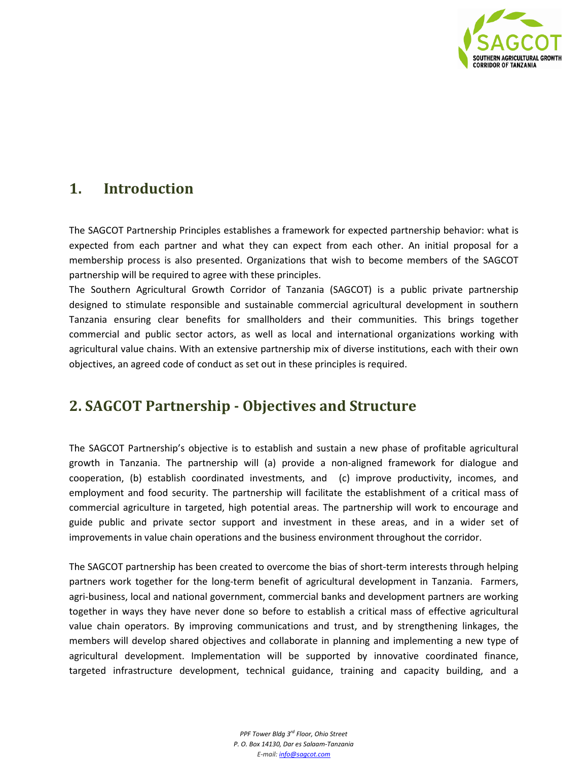

#### **1. Introduction**

The SAGCOT Partnership Principles establishes a framework for expected partnership behavior: what is expected from each partner and what they can expect from each other. An initial proposal for a membership process is also presented. Organizations that wish to become members of the SAGCOT partnership will be required to agree with these principles.

The Southern Agricultural Growth Corridor of Tanzania (SAGCOT) is a public private partnership designed to stimulate responsible and sustainable commercial agricultural development in southern Tanzania ensuring clear benefits for smallholders and their communities. This brings together commercial and public sector actors, as well as local and international organizations working with agricultural value chains. With an extensive partnership mix of diverse institutions, each with their own objectives, an agreed code of conduct as set out in these principles is required.

#### **2. SAGCOT Partnership - Objectives and Structure**

The SAGCOT Partnership's objective is to establish and sustain a new phase of profitable agricultural growth in Tanzania. The partnership will (a) provide a non-aligned framework for dialogue and cooperation, (b) establish coordinated investments, and (c) improve productivity, incomes, and employment and food security. The partnership will facilitate the establishment of a critical mass of commercial agriculture in targeted, high potential areas. The partnership will work to encourage and guide public and private sector support and investment in these areas, and in a wider set of improvements in value chain operations and the business environment throughout the corridor.

The SAGCOT partnership has been created to overcome the bias of short-term interests through helping partners work together for the long-term benefit of agricultural development in Tanzania. Farmers, agri-business, local and national government, commercial banks and development partners are working together in ways they have never done so before to establish a critical mass of effective agricultural value chain operators. By improving communications and trust, and by strengthening linkages, the members will develop shared objectives and collaborate in planning and implementing a new type of agricultural development. Implementation will be supported by innovative coordinated finance, targeted infrastructure development, technical guidance, training and capacity building, and a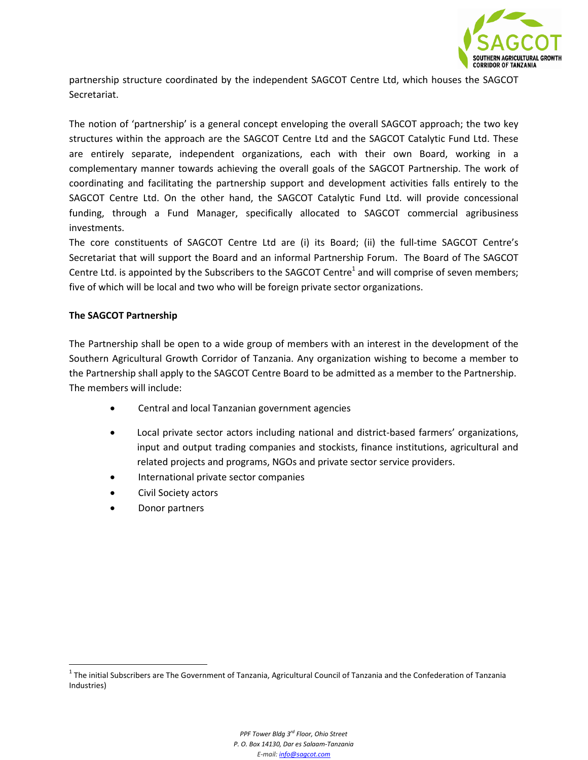

partnership structure coordinated by the independent SAGCOT Centre Ltd, which houses the SAGCOT Secretariat.

The notion of 'partnership' is a general concept enveloping the overall SAGCOT approach; the two key structures within the approach are the SAGCOT Centre Ltd and the SAGCOT Catalytic Fund Ltd. These are entirely separate, independent organizations, each with their own Board, working in a complementary manner towards achieving the overall goals of the SAGCOT Partnership. The work of coordinating and facilitating the partnership support and development activities falls entirely to the SAGCOT Centre Ltd. On the other hand, the SAGCOT Catalytic Fund Ltd. will provide concessional funding, through a Fund Manager, specifically allocated to SAGCOT commercial agribusiness investments.

The core constituents of SAGCOT Centre Ltd are (i) its Board; (ii) the full-time SAGCOT Centre's Secretariat that will support the Board and an informal Partnership Forum. The Board of The SAGCOT Centre Ltd. is appointed by the Subscribers to the SAGCOT Centre<sup>1</sup> and will comprise of seven members; five of which will be local and two who will be foreign private sector organizations.

#### **The SAGCOT Partnership**

The Partnership shall be open to a wide group of members with an interest in the development of the Southern Agricultural Growth Corridor of Tanzania. Any organization wishing to become a member to the Partnership shall apply to the SAGCOT Centre Board to be admitted as a member to the Partnership. The members will include:

- Central and local Tanzanian government agencies
- Local private sector actors including national and district-based farmers' organizations, input and output trading companies and stockists, finance institutions, agricultural and related projects and programs, NGOs and private sector service providers.
- International private sector companies
- Civil Society actors
- Donor partners

 $\overline{\phantom{0}}$ 

 $1$  The initial Subscribers are The Government of Tanzania, Agricultural Council of Tanzania and the Confederation of Tanzania Industries)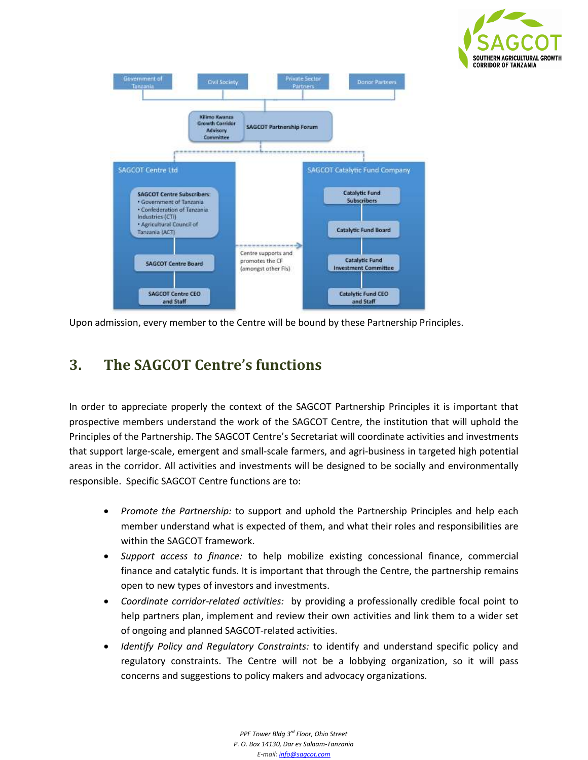



Upon admission, every member to the Centre will be bound by these Partnership Principles.

### **3. The SAGCOT Centre's functions**

In order to appreciate properly the context of the SAGCOT Partnership Principles it is important that prospective members understand the work of the SAGCOT Centre, the institution that will uphold the Principles of the Partnership. The SAGCOT Centre's Secretariat will coordinate activities and investments that support large-scale, emergent and small-scale farmers, and agri-business in targeted high potential areas in the corridor. All activities and investments will be designed to be socially and environmentally responsible. Specific SAGCOT Centre functions are to:

- *Promote the Partnership:* to support and uphold the Partnership Principles and help each member understand what is expected of them, and what their roles and responsibilities are within the SAGCOT framework.
- *Support access to finance:* to help mobilize existing concessional finance, commercial finance and catalytic funds. It is important that through the Centre, the partnership remains open to new types of investors and investments.
- *Coordinate corridor-related activities:* by providing a professionally credible focal point to help partners plan, implement and review their own activities and link them to a wider set of ongoing and planned SAGCOT-related activities.
- *Identify Policy and Regulatory Constraints:* to identify and understand specific policy and regulatory constraints. The Centre will not be a lobbying organization, so it will pass concerns and suggestions to policy makers and advocacy organizations.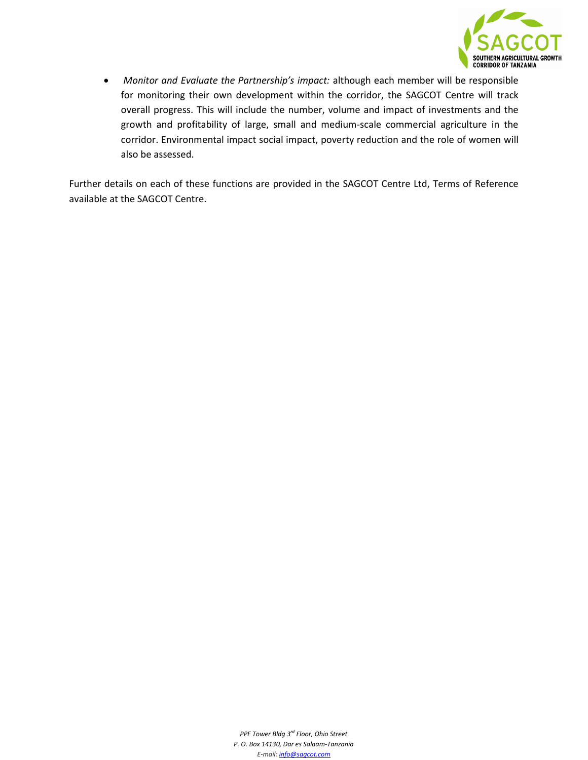

• *Monitor and Evaluate the Partnership's impact:* although each member will be responsible for monitoring their own development within the corridor, the SAGCOT Centre will track overall progress. This will include the number, volume and impact of investments and the growth and profitability of large, small and medium-scale commercial agriculture in the corridor. Environmental impact social impact, poverty reduction and the role of women will also be assessed.

Further details on each of these functions are provided in the SAGCOT Centre Ltd, Terms of Reference available at the SAGCOT Centre.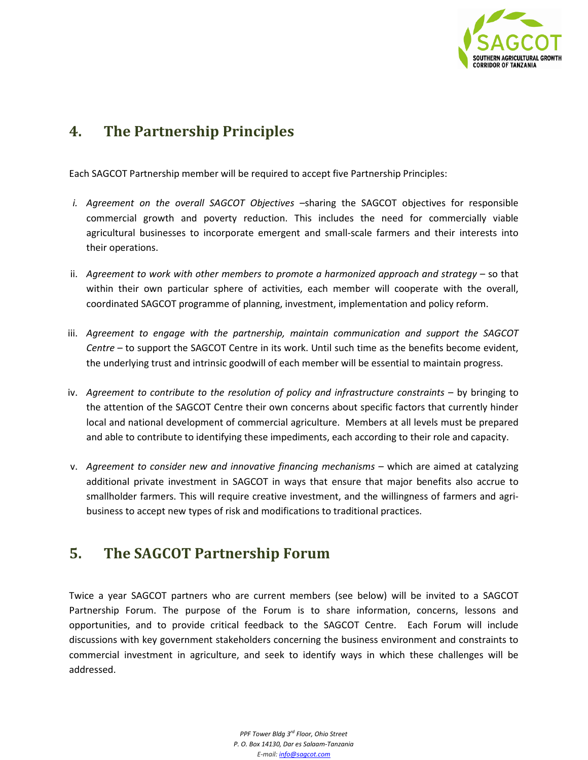

#### **4. The Partnership Principles**

Each SAGCOT Partnership member will be required to accept five Partnership Principles:

- *i. Agreement on the overall SAGCOT Objectives –*sharing the SAGCOT objectives for responsible commercial growth and poverty reduction. This includes the need for commercially viable agricultural businesses to incorporate emergent and small-scale farmers and their interests into their operations.
- ii. *Agreement to work with other members to promote a harmonized approach and strategy* so that within their own particular sphere of activities, each member will cooperate with the overall, coordinated SAGCOT programme of planning, investment, implementation and policy reform.
- iii. *Agreement to engage with the partnership, maintain communication and support the SAGCOT Centre* – to support the SAGCOT Centre in its work. Until such time as the benefits become evident, the underlying trust and intrinsic goodwill of each member will be essential to maintain progress.
- iv. *Agreement to contribute to the resolution of policy and infrastructure constraints* by bringing to the attention of the SAGCOT Centre their own concerns about specific factors that currently hinder local and national development of commercial agriculture. Members at all levels must be prepared and able to contribute to identifying these impediments, each according to their role and capacity.
- v. *Agreement to consider new and innovative financing mechanisms* which are aimed at catalyzing additional private investment in SAGCOT in ways that ensure that major benefits also accrue to smallholder farmers. This will require creative investment, and the willingness of farmers and agribusiness to accept new types of risk and modifications to traditional practices.

#### **5. The SAGCOT Partnership Forum**

Twice a year SAGCOT partners who are current members (see below) will be invited to a SAGCOT Partnership Forum. The purpose of the Forum is to share information, concerns, lessons and opportunities, and to provide critical feedback to the SAGCOT Centre. Each Forum will include discussions with key government stakeholders concerning the business environment and constraints to commercial investment in agriculture, and seek to identify ways in which these challenges will be addressed.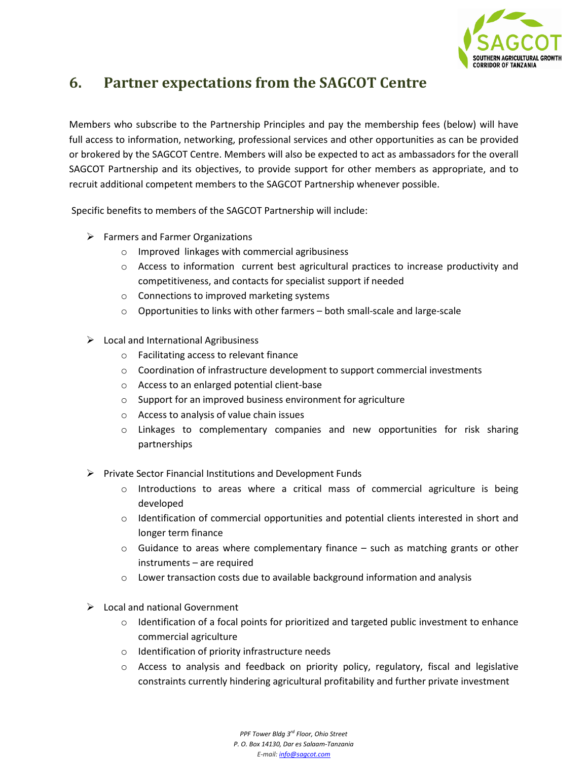

#### **6. Partner expectations from the SAGCOT Centre**

Members who subscribe to the Partnership Principles and pay the membership fees (below) will have full access to information, networking, professional services and other opportunities as can be provided or brokered by the SAGCOT Centre. Members will also be expected to act as ambassadors for the overall SAGCOT Partnership and its objectives, to provide support for other members as appropriate, and to recruit additional competent members to the SAGCOT Partnership whenever possible.

Specific benefits to members of the SAGCOT Partnership will include:

- $\triangleright$  Farmers and Farmer Organizations
	- o Improved linkages with commercial agribusiness
	- o Access to information current best agricultural practices to increase productivity and competitiveness, and contacts for specialist support if needed
	- o Connections to improved marketing systems
	- o Opportunities to links with other farmers both small-scale and large-scale
- $\triangleright$  Local and International Agribusiness
	- o Facilitating access to relevant finance
	- $\circ$  Coordination of infrastructure development to support commercial investments
	- o Access to an enlarged potential client-base
	- o Support for an improved business environment for agriculture
	- o Access to analysis of value chain issues
	- o Linkages to complementary companies and new opportunities for risk sharing partnerships
- $\triangleright$  Private Sector Financial Institutions and Development Funds
	- o Introductions to areas where a critical mass of commercial agriculture is being developed
	- $\circ$  Identification of commercial opportunities and potential clients interested in short and longer term finance
	- $\circ$  Guidance to areas where complementary finance such as matching grants or other instruments – are required
	- $\circ$  Lower transaction costs due to available background information and analysis
- $\triangleright$  Local and national Government
	- $\circ$  Identification of a focal points for prioritized and targeted public investment to enhance commercial agriculture
	- o Identification of priority infrastructure needs
	- o Access to analysis and feedback on priority policy, regulatory, fiscal and legislative constraints currently hindering agricultural profitability and further private investment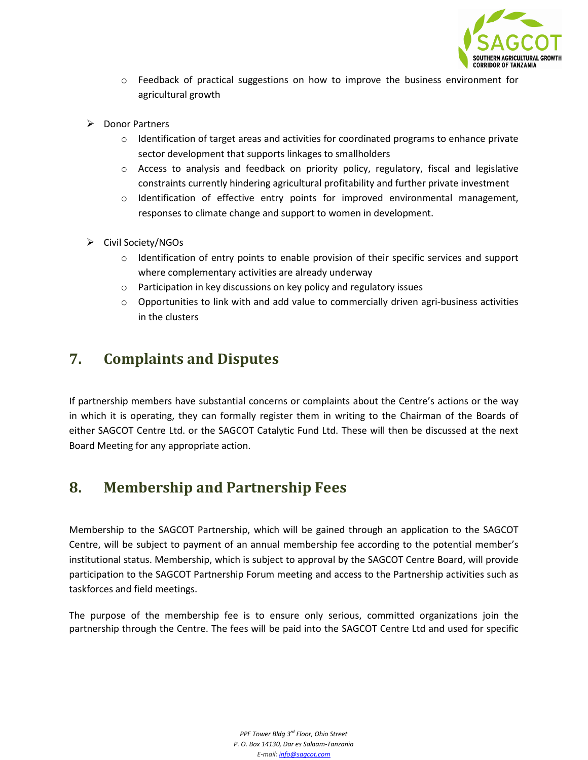

- o Feedback of practical suggestions on how to improve the business environment for agricultural growth
- **Donor Partners** 
	- $\circ$  Identification of target areas and activities for coordinated programs to enhance private sector development that supports linkages to smallholders
	- o Access to analysis and feedback on priority policy, regulatory, fiscal and legislative constraints currently hindering agricultural profitability and further private investment
	- o Identification of effective entry points for improved environmental management, responses to climate change and support to women in development.
- Civil Society/NGOs
	- o Identification of entry points to enable provision of their specific services and support where complementary activities are already underway
	- o Participation in key discussions on key policy and regulatory issues
	- $\circ$  Opportunities to link with and add value to commercially driven agri-business activities in the clusters

### **7. Complaints and Disputes**

If partnership members have substantial concerns or complaints about the Centre's actions or the way in which it is operating, they can formally register them in writing to the Chairman of the Boards of either SAGCOT Centre Ltd. or the SAGCOT Catalytic Fund Ltd. These will then be discussed at the next Board Meeting for any appropriate action.

#### **8. Membership and Partnership Fees**

Membership to the SAGCOT Partnership, which will be gained through an application to the SAGCOT Centre, will be subject to payment of an annual membership fee according to the potential member's institutional status. Membership, which is subject to approval by the SAGCOT Centre Board, will provide participation to the SAGCOT Partnership Forum meeting and access to the Partnership activities such as taskforces and field meetings.

The purpose of the membership fee is to ensure only serious, committed organizations join the partnership through the Centre. The fees will be paid into the SAGCOT Centre Ltd and used for specific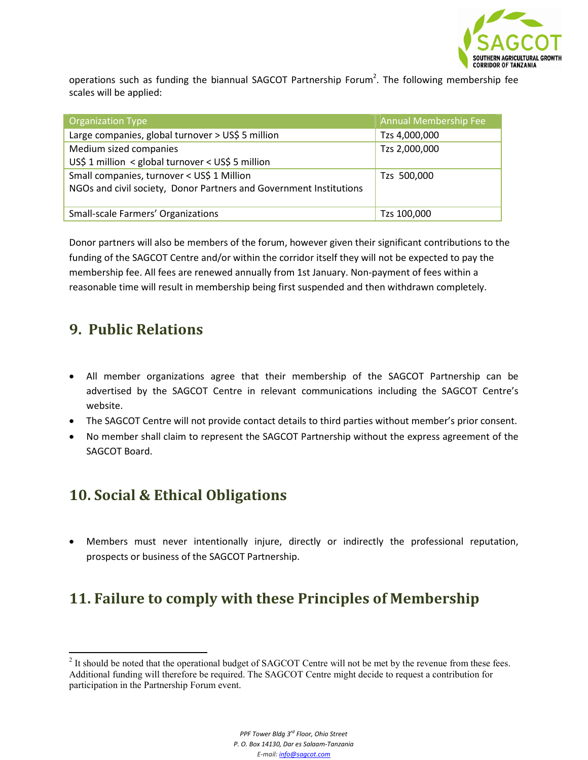

operations such as funding the biannual SAGCOT Partnership Forum<sup>2</sup>. The following membership fee scales will be applied:

| <b>Organization Type</b>                                           | Annual Membership Fee |
|--------------------------------------------------------------------|-----------------------|
| Large companies, global turnover > US\$ 5 million                  | Tzs 4,000,000         |
| Medium sized companies                                             | Tzs 2,000,000         |
| US\$ 1 million < global turnover < US\$ 5 million                  |                       |
| Small companies, turnover < US\$ 1 Million                         | Tzs 500,000           |
| NGOs and civil society, Donor Partners and Government Institutions |                       |
|                                                                    |                       |
| <b>Small-scale Farmers' Organizations</b>                          | Tzs 100,000           |

Donor partners will also be members of the forum, however given their significant contributions to the funding of the SAGCOT Centre and/or within the corridor itself they will not be expected to pay the membership fee. All fees are renewed annually from 1st January. Non-payment of fees within a reasonable time will result in membership being first suspended and then withdrawn completely.

#### **9. Public Relations**

<u>.</u>

- All member organizations agree that their membership of the SAGCOT Partnership can be advertised by the SAGCOT Centre in relevant communications including the SAGCOT Centre's website.
- The SAGCOT Centre will not provide contact details to third parties without member's prior consent.
- No member shall claim to represent the SAGCOT Partnership without the express agreement of the SAGCOT Board.

#### **10. Social & Ethical Obligations**

• Members must never intentionally injure, directly or indirectly the professional reputation, prospects or business of the SAGCOT Partnership.

### **11. Failure to comply with these Principles of Membership**

 $2$  It should be noted that the operational budget of SAGCOT Centre will not be met by the revenue from these fees. Additional funding will therefore be required. The SAGCOT Centre might decide to request a contribution for participation in the Partnership Forum event.